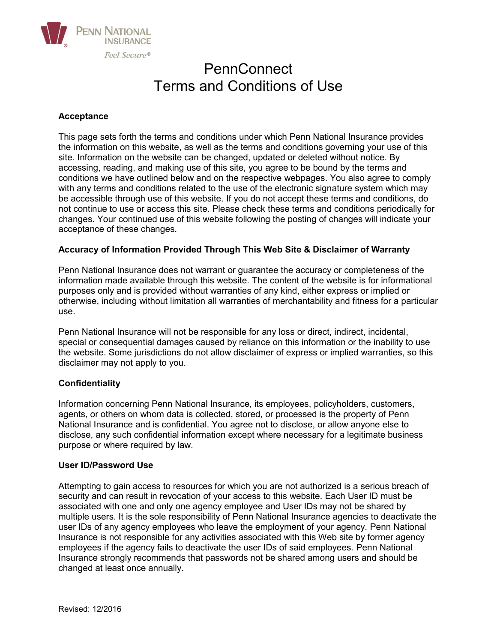

# PennConnect Terms and Conditions of Use

# **Acceptance**

This page sets forth the terms and conditions under which Penn National Insurance provides the information on this website, as well as the terms and conditions governing your use of this site. Information on the website can be changed, updated or deleted without notice. By accessing, reading, and making use of this site, you agree to be bound by the terms and conditions we have outlined below and on the respective webpages. You also agree to comply with any terms and conditions related to the use of the electronic signature system which may be accessible through use of this website. If you do not accept these terms and conditions, do not continue to use or access this site. Please check these terms and conditions periodically for changes. Your continued use of this website following the posting of changes will indicate your acceptance of these changes.

# **Accuracy of Information Provided Through This Web Site & Disclaimer of Warranty**

Penn National Insurance does not warrant or guarantee the accuracy or completeness of the information made available through this website. The content of the website is for informational purposes only and is provided without warranties of any kind, either express or implied or otherwise, including without limitation all warranties of merchantability and fitness for a particular use.

Penn National Insurance will not be responsible for any loss or direct, indirect, incidental, special or consequential damages caused by reliance on this information or the inability to use the website. Some jurisdictions do not allow disclaimer of express or implied warranties, so this disclaimer may not apply to you.

## **Confidentiality**

Information concerning Penn National Insurance, its employees, policyholders, customers, agents, or others on whom data is collected, stored, or processed is the property of Penn National Insurance and is confidential. You agree not to disclose, or allow anyone else to disclose, any such confidential information except where necessary for a legitimate business purpose or where required by law.

## **User ID/Password Use**

Attempting to gain access to resources for which you are not authorized is a serious breach of security and can result in revocation of your access to this website. Each User ID must be associated with one and only one agency employee and User IDs may not be shared by multiple users. It is the sole responsibility of Penn National Insurance agencies to deactivate the user IDs of any agency employees who leave the employment of your agency*.* Penn National Insurance is not responsible for any activities associated with this Web site by former agency employees if the agency fails to deactivate the user IDs of said employees*.* Penn National Insurance strongly recommends that passwords not be shared among users and should be changed at least once annually.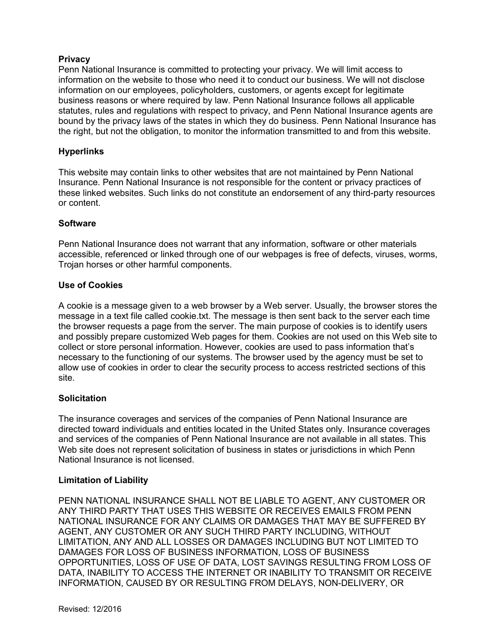# **Privacy**

Penn National Insurance is committed to protecting your privacy. We will limit access to information on the website to those who need it to conduct our business. We will not disclose information on our employees, policyholders, customers, or agents except for legitimate business reasons or where required by law. Penn National Insurance follows all applicable statutes, rules and regulations with respect to privacy, and Penn National Insurance agents are bound by the privacy laws of the states in which they do business*.* Penn National Insurance has the right, but not the obligation, to monitor the information transmitted to and from this website.

## **Hyperlinks**

This website may contain links to other websites that are not maintained by Penn National Insurance. Penn National Insurance is not responsible for the content or privacy practices of these linked websites. Such links do not constitute an endorsement of any third-party resources or content.

## **Software**

Penn National Insurance does not warrant that any information, software or other materials accessible, referenced or linked through one of our webpages is free of defects, viruses, worms, Trojan horses or other harmful components.

## **Use of Cookies**

A cookie is a message given to a web browser by a Web server. Usually, the browser stores the message in a text file called cookie.txt. The message is then sent back to the server each time the browser requests a page from the server. The main purpose of cookies is to identify users and possibly prepare customized Web pages for them. Cookies are not used on this Web site to collect or store personal information. However, cookies are used to pass information that's necessary to the functioning of our systems. The browser used by the agency must be set to allow use of cookies in order to clear the security process to access restricted sections of this site.

# **Solicitation**

The insurance coverages and services of the companies of Penn National Insurance are directed toward individuals and entities located in the United States only. Insurance coverages and services of the companies of Penn National Insurance are not available in all states. This Web site does not represent solicitation of business in states or jurisdictions in which Penn National Insurance is not licensed.

## **Limitation of Liability**

PENN NATIONAL INSURANCE SHALL NOT BE LIABLE TO AGENT, ANY CUSTOMER OR ANY THIRD PARTY THAT USES THIS WEBSITE OR RECEIVES EMAILS FROM PENN NATIONAL INSURANCE FOR ANY CLAIMS OR DAMAGES THAT MAY BE SUFFERED BY AGENT, ANY CUSTOMER OR ANY SUCH THIRD PARTY INCLUDING, WITHOUT LIMITATION, ANY AND ALL LOSSES OR DAMAGES INCLUDING BUT NOT LIMITED TO DAMAGES FOR LOSS OF BUSINESS INFORMATION, LOSS OF BUSINESS OPPORTUNITIES, LOSS OF USE OF DATA, LOST SAVINGS RESULTING FROM LOSS OF DATA, INABILITY TO ACCESS THE INTERNET OR INABILITY TO TRANSMIT OR RECEIVE INFORMATION, CAUSED BY OR RESULTING FROM DELAYS, NON-DELIVERY, OR